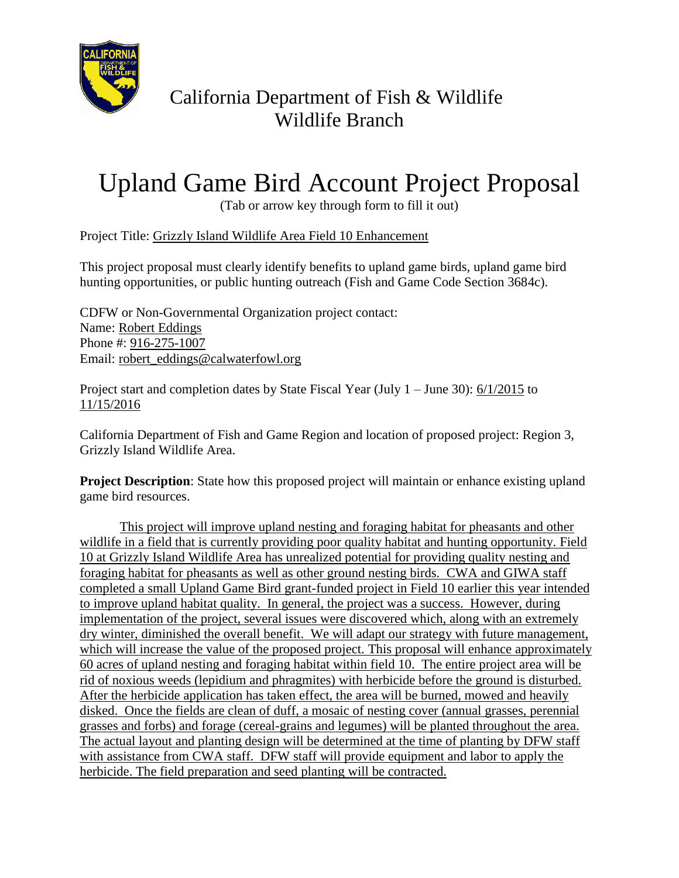

## California Department of Fish & Wildlife Wildlife Branch

## Upland Game Bird Account Project Proposal

(Tab or arrow key through form to fill it out)

Project Title: Grizzly Island Wildlife Area Field 10 Enhancement

This project proposal must clearly identify benefits to upland game birds, upland game bird hunting opportunities, or public hunting outreach (Fish and Game Code Section 3684c).

CDFW or Non-Governmental Organization project contact: Name: Robert Eddings Phone #: 916-275-1007 Email: robert\_eddings@calwaterfowl.org

Project start and completion dates by State Fiscal Year (July 1 – June 30): 6/1/2015 to 11/15/2016

California Department of Fish and Game Region and location of proposed project: Region 3, Grizzly Island Wildlife Area.

**Project Description**: State how this proposed project will maintain or enhance existing upland game bird resources.

This project will improve upland nesting and foraging habitat for pheasants and other wildlife in a field that is currently providing poor quality habitat and hunting opportunity. Field 10 at Grizzly Island Wildlife Area has unrealized potential for providing quality nesting and foraging habitat for pheasants as well as other ground nesting birds. CWA and GIWA staff completed a small Upland Game Bird grant-funded project in Field 10 earlier this year intended to improve upland habitat quality. In general, the project was a success. However, during implementation of the project, several issues were discovered which, along with an extremely dry winter, diminished the overall benefit. We will adapt our strategy with future management, which will increase the value of the proposed project. This proposal will enhance approximately 60 acres of upland nesting and foraging habitat within field 10. The entire project area will be rid of noxious weeds (lepidium and phragmites) with herbicide before the ground is disturbed. After the herbicide application has taken effect, the area will be burned, mowed and heavily disked. Once the fields are clean of duff, a mosaic of nesting cover (annual grasses, perennial grasses and forbs) and forage (cereal-grains and legumes) will be planted throughout the area. The actual layout and planting design will be determined at the time of planting by DFW staff with assistance from CWA staff. DFW staff will provide equipment and labor to apply the herbicide. The field preparation and seed planting will be contracted.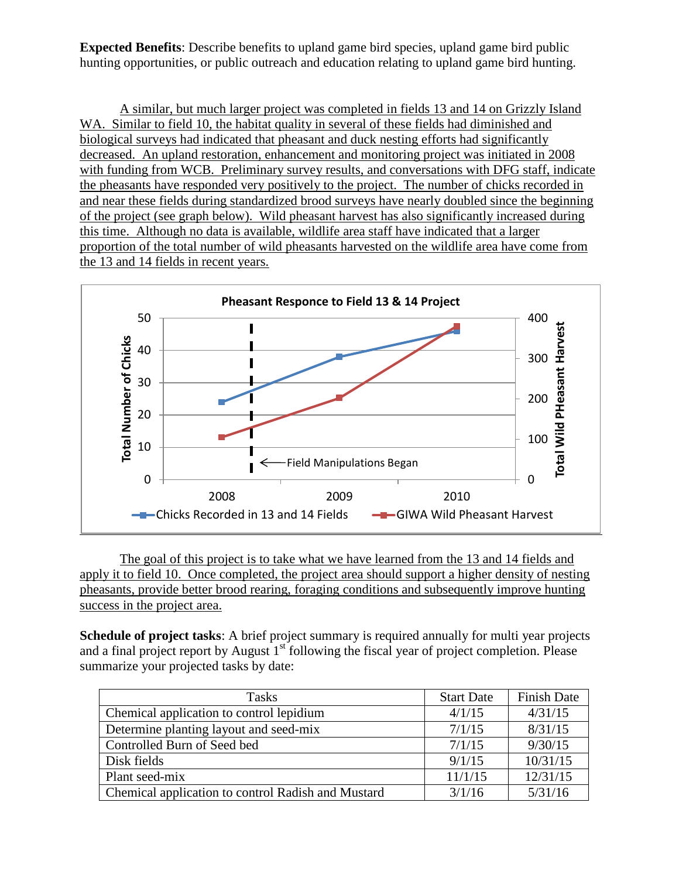**Expected Benefits**: Describe benefits to upland game bird species, upland game bird public hunting opportunities, or public outreach and education relating to upland game bird hunting.

A similar, but much larger project was completed in fields 13 and 14 on Grizzly Island WA. Similar to field 10, the habitat quality in several of these fields had diminished and biological surveys had indicated that pheasant and duck nesting efforts had significantly decreased. An upland restoration, enhancement and monitoring project was initiated in 2008 with funding from WCB. Preliminary survey results, and conversations with DFG staff, indicate the pheasants have responded very positively to the project. The number of chicks recorded in and near these fields during standardized brood surveys have nearly doubled since the beginning of the project (see graph below). Wild pheasant harvest has also significantly increased during this time. Although no data is available, wildlife area staff have indicated that a larger proportion of the total number of wild pheasants harvested on the wildlife area have come from the 13 and 14 fields in recent years.



The goal of this project is to take what we have learned from the 13 and 14 fields and apply it to field 10. Once completed, the project area should support a higher density of nesting pheasants, provide better brood rearing, foraging conditions and subsequently improve hunting success in the project area.

**Schedule of project tasks**: A brief project summary is required annually for multi year projects and a final project report by August  $1<sup>st</sup>$  following the fiscal year of project completion. Please summarize your projected tasks by date:

| <b>Tasks</b>                                       | <b>Start Date</b> | <b>Finish Date</b> |
|----------------------------------------------------|-------------------|--------------------|
| Chemical application to control lepidium           | 4/1/15            | 4/31/15            |
| Determine planting layout and seed-mix             | 7/1/15            | 8/31/15            |
| Controlled Burn of Seed bed                        | 7/1/15            | 9/30/15            |
| Disk fields                                        | 9/1/15            | 10/31/15           |
| Plant seed-mix                                     | 11/1/15           | 12/31/15           |
| Chemical application to control Radish and Mustard | 3/1/16            | 5/31/16            |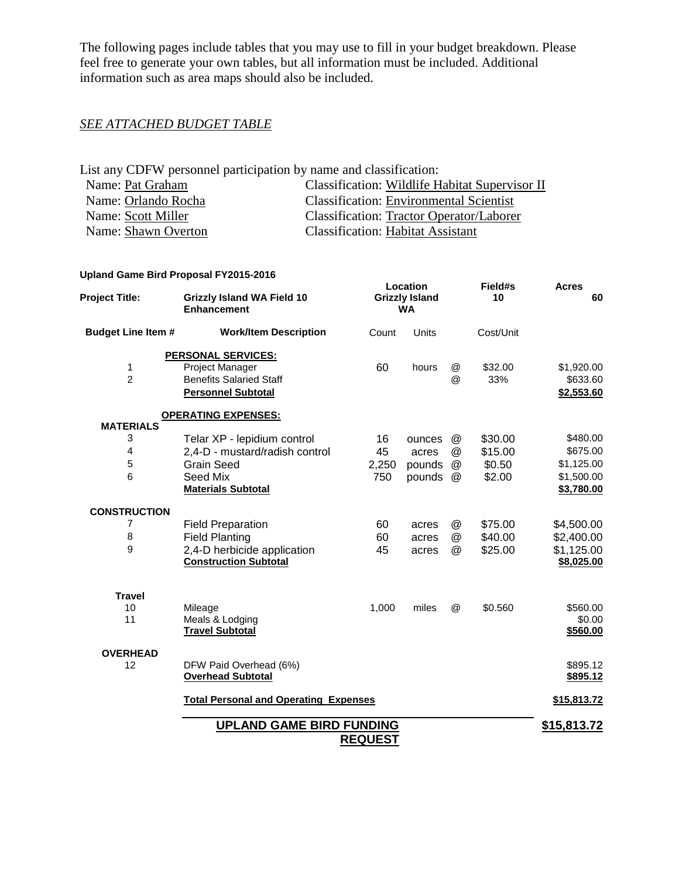The following pages include tables that you may use to fill in your budget breakdown. Please feel free to generate your own tables, but all information must be included. Additional information such as area maps should also be included.

## *SEE ATTACHED BUDGET TABLE*

| List any CDFW personnel participation by name and classification: |                                                 |  |  |  |  |  |  |
|-------------------------------------------------------------------|-------------------------------------------------|--|--|--|--|--|--|
| Name: Pat Graham                                                  | Classification: Wildlife Habitat Supervisor II  |  |  |  |  |  |  |
| Name: Orlando Rocha                                               | <b>Classification: Environmental Scientist</b>  |  |  |  |  |  |  |
| Name: Scott Miller                                                | <b>Classification: Tractor Operator/Laborer</b> |  |  |  |  |  |  |
| Name: Shawn Overton                                               | <b>Classification: Habitat Assistant</b>        |  |  |  |  |  |  |

## **Upland Game Bird Proposal FY2015-2016**

| <b>Project Title:</b>     | <b>Grizzly Island WA Field 10</b><br><b>Enhancement</b> |                | Location<br><b>Grizzly Island</b><br><b>WA</b> |                           | Field#s<br>10 | <b>Acres</b><br>60 |
|---------------------------|---------------------------------------------------------|----------------|------------------------------------------------|---------------------------|---------------|--------------------|
| <b>Budget Line Item #</b> | <b>Work/Item Description</b>                            | Count          | <b>Units</b>                                   |                           | Cost/Unit     |                    |
|                           | <b>PERSONAL SERVICES:</b>                               |                |                                                |                           |               |                    |
| 1                         | Project Manager                                         | 60             | hours                                          | $^{\textregistered}$      | \$32.00       | \$1,920.00         |
| $\overline{2}$            | <b>Benefits Salaried Staff</b>                          |                |                                                | $^{\copyright}$           | 33%           | \$633.60           |
|                           | <b>Personnel Subtotal</b>                               |                |                                                |                           |               | \$2,553.60         |
|                           | <b>OPERATING EXPENSES:</b>                              |                |                                                |                           |               |                    |
| <b>MATERIALS</b>          |                                                         |                |                                                |                           |               |                    |
| 3                         | Telar XP - lepidium control                             | 16             | ounces                                         | @                         | \$30.00       | \$480.00           |
| 4                         | 2,4-D - mustard/radish control                          | 45             | acres                                          | @                         | \$15.00       | \$675.00           |
| 5<br>6                    | <b>Grain Seed</b>                                       | 2,250          | pounds                                         | @                         | \$0.50        | \$1,125.00         |
|                           | Seed Mix<br><b>Materials Subtotal</b>                   | 750            | pounds                                         | $^{\textregistered}$      | \$2.00        | \$1,500.00         |
|                           |                                                         |                |                                                |                           |               | \$3,780.00         |
| <b>CONSTRUCTION</b>       |                                                         |                |                                                |                           |               |                    |
| 7                         | <b>Field Preparation</b>                                | 60             | acres                                          | @                         | \$75.00       | \$4,500.00         |
| 8                         | <b>Field Planting</b>                                   | 60             | acres                                          | $^\text{\textregistered}$ | \$40.00       | \$2,400.00         |
| 9                         | 2,4-D herbicide application                             | 45             | acres                                          | @                         | \$25.00       | \$1,125.00         |
|                           | <b>Construction Subtotal</b>                            |                |                                                |                           |               | \$8,025.00         |
| <b>Travel</b>             |                                                         |                |                                                |                           |               |                    |
| 10                        | Mileage                                                 | 1,000          | miles                                          | $^{\circledR}$            | \$0.560       | \$560.00           |
| 11                        | Meals & Lodging                                         |                |                                                |                           |               | \$0.00             |
|                           | <b>Travel Subtotal</b>                                  |                |                                                |                           |               | <u>\$560.00</u>    |
| <b>OVERHEAD</b>           |                                                         |                |                                                |                           |               |                    |
| 12                        | DFW Paid Overhead (6%)                                  |                |                                                |                           |               | \$895.12           |
|                           | <b>Overhead Subtotal</b>                                |                |                                                |                           |               | \$895.12           |
|                           | <b>Total Personal and Operating Expenses</b>            |                |                                                |                           |               | \$15,813.72        |
|                           | <b>UPLAND GAME BIRD FUNDING</b>                         |                |                                                |                           |               | \$15,813.72        |
|                           |                                                         | <b>REQUEST</b> |                                                |                           |               |                    |